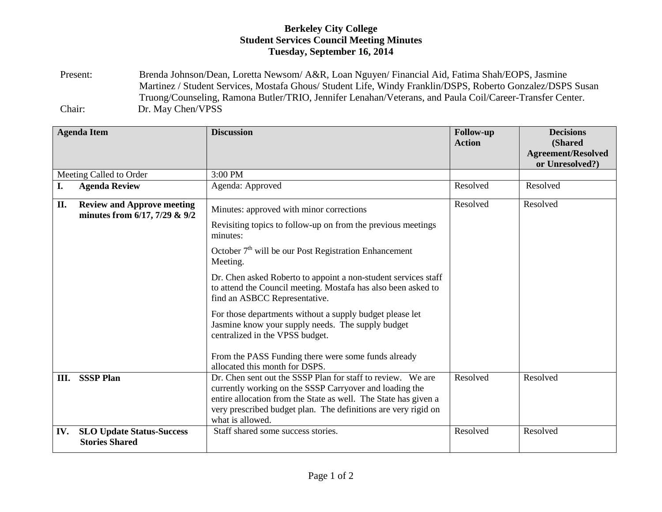## **Berkeley City College Student Services Council Meeting Minutes Tuesday, September 16, 2014**

Present: Brenda Johnson/Dean, Loretta Newsom/ A&R, Loan Nguyen/ Financial Aid, Fatima Shah/EOPS, Jasmine Martinez / Student Services, Mostafa Ghous/ Student Life, Windy Franklin/DSPS, Roberto Gonzalez/DSPS Susan Truong/Counseling, Ramona Butler/TRIO, Jennifer Lenahan/Veterans, and Paula Coil/Career-Transfer Center. Chair: Dr. May Chen/VPSS

|                         | <b>Agenda Item</b>                                                        | <b>Discussion</b>                                                                                                                                                                                                                                                                                                                                                                                                                                                                                                                                                                                            | <b>Follow-up</b><br><b>Action</b> | <b>Decisions</b><br>(Shared<br><b>Agreement/Resolved</b><br>or Unresolved?) |
|-------------------------|---------------------------------------------------------------------------|--------------------------------------------------------------------------------------------------------------------------------------------------------------------------------------------------------------------------------------------------------------------------------------------------------------------------------------------------------------------------------------------------------------------------------------------------------------------------------------------------------------------------------------------------------------------------------------------------------------|-----------------------------------|-----------------------------------------------------------------------------|
| Meeting Called to Order |                                                                           | 3:00 PM                                                                                                                                                                                                                                                                                                                                                                                                                                                                                                                                                                                                      |                                   |                                                                             |
| I.                      | <b>Agenda Review</b>                                                      | Agenda: Approved                                                                                                                                                                                                                                                                                                                                                                                                                                                                                                                                                                                             | Resolved                          | Resolved                                                                    |
| II.                     | <b>Review and Approve meeting</b><br>minutes from $6/17$ , $7/29$ & $9/2$ | Minutes: approved with minor corrections<br>Revisiting topics to follow-up on from the previous meetings<br>minutes:<br>October $7th$ will be our Post Registration Enhancement<br>Meeting.<br>Dr. Chen asked Roberto to appoint a non-student services staff<br>to attend the Council meeting. Mostafa has also been asked to<br>find an ASBCC Representative.<br>For those departments without a supply budget please let<br>Jasmine know your supply needs. The supply budget<br>centralized in the VPSS budget.<br>From the PASS Funding there were some funds already<br>allocated this month for DSPS. | Resolved                          | Resolved                                                                    |
| Ш.                      | <b>SSSP Plan</b>                                                          | Dr. Chen sent out the SSSP Plan for staff to review. We are<br>currently working on the SSSP Carryover and loading the<br>entire allocation from the State as well. The State has given a<br>very prescribed budget plan. The definitions are very rigid on<br>what is allowed.                                                                                                                                                                                                                                                                                                                              | Resolved                          | Resolved                                                                    |
| IV.                     | <b>SLO Update Status-Success</b><br><b>Stories Shared</b>                 | Staff shared some success stories.                                                                                                                                                                                                                                                                                                                                                                                                                                                                                                                                                                           | Resolved                          | Resolved                                                                    |